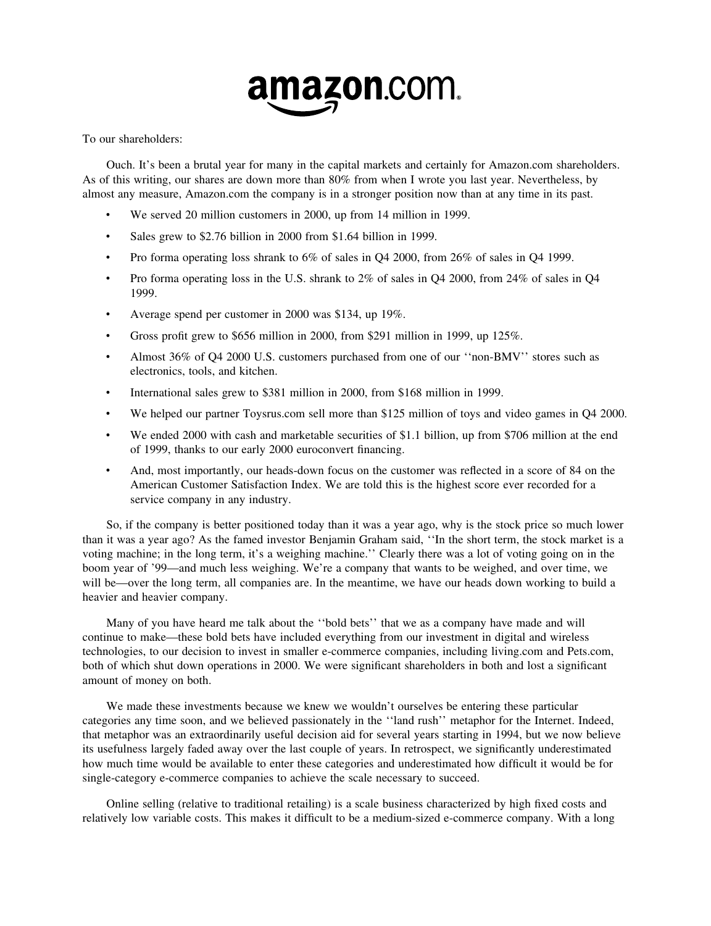# amazon.com.

To our shareholders:

Ouch. It's been a brutal year for many in the capital markets and certainly for Amazon.com shareholders. As of this writing, our shares are down more than 80% from when I wrote you last year. Nevertheless, by almost any measure, Amazon.com the company is in a stronger position now than at any time in its past.

- We served 20 million customers in 2000, up from 14 million in 1999.
- Sales grew to \$2.76 billion in 2000 from \$1.64 billion in 1999.
- Pro forma operating loss shrank to 6% of sales in Q4 2000, from 26% of sales in Q4 1999.
- Pro forma operating loss in the U.S. shrank to 2% of sales in Q4 2000, from 24% of sales in Q4 1999.
- Average spend per customer in 2000 was \$134, up 19%.
- Gross profit grew to \$656 million in 2000, from \$291 million in 1999, up 125%.
- Almost 36% of Q4 2000 U.S. customers purchased from one of our ''non-BMV'' stores such as electronics, tools, and kitchen.
- International sales grew to \$381 million in 2000, from \$168 million in 1999.
- We helped our partner Toysrus.com sell more than \$125 million of toys and video games in Q4 2000.
- We ended 2000 with cash and marketable securities of \$1.1 billion, up from \$706 million at the end of 1999, thanks to our early 2000 euroconvert financing.
- And, most importantly, our heads-down focus on the customer was reflected in a score of 84 on the American Customer Satisfaction Index. We are told this is the highest score ever recorded for a service company in any industry.

So, if the company is better positioned today than it was a year ago, why is the stock price so much lower than it was a year ago? As the famed investor Benjamin Graham said, ''In the short term, the stock market is a voting machine; in the long term, it's a weighing machine.'' Clearly there was a lot of voting going on in the boom year of '99—and much less weighing. We're a company that wants to be weighed, and over time, we will be—over the long term, all companies are. In the meantime, we have our heads down working to build a heavier and heavier company.

Many of you have heard me talk about the ''bold bets'' that we as a company have made and will continue to make—these bold bets have included everything from our investment in digital and wireless technologies, to our decision to invest in smaller e-commerce companies, including living.com and Pets.com, both of which shut down operations in 2000. We were significant shareholders in both and lost a significant amount of money on both.

We made these investments because we knew we wouldn't ourselves be entering these particular categories any time soon, and we believed passionately in the ''land rush'' metaphor for the Internet. Indeed, that metaphor was an extraordinarily useful decision aid for several years starting in 1994, but we now believe its usefulness largely faded away over the last couple of years. In retrospect, we significantly underestimated how much time would be available to enter these categories and underestimated how difficult it would be for single-category e-commerce companies to achieve the scale necessary to succeed.

Online selling (relative to traditional retailing) is a scale business characterized by high fixed costs and relatively low variable costs. This makes it difficult to be a medium-sized e-commerce company. With a long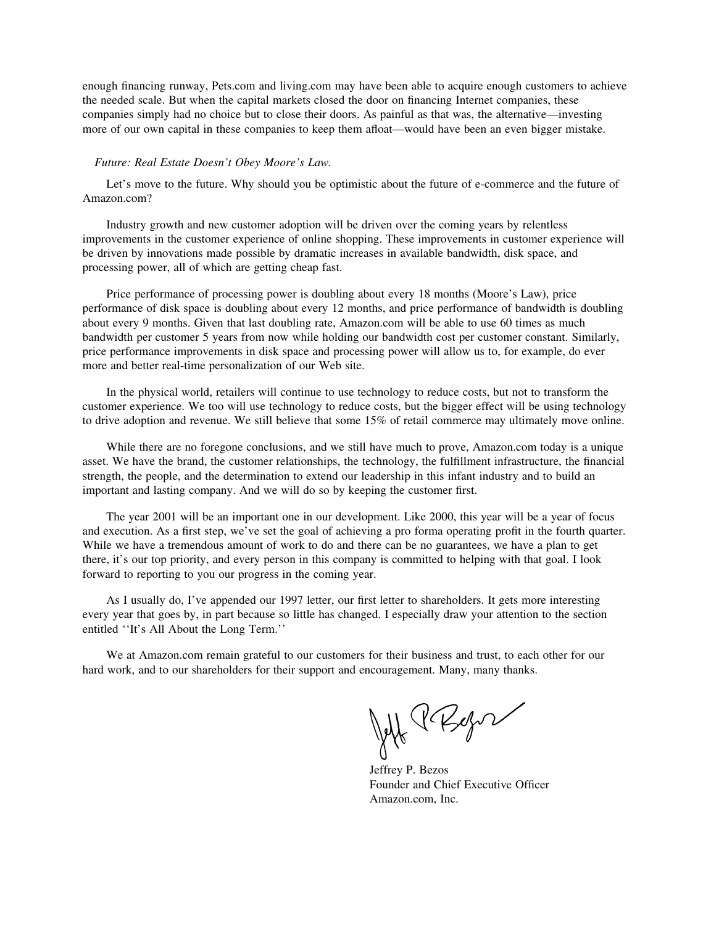enough financing runway, Pets.com and living.com may have been able to acquire enough customers to achieve the needed scale. But when the capital markets closed the door on financing Internet companies, these companies simply had no choice but to close their doors. As painful as that was, the alternative—investing more of our own capital in these companies to keep them afloat—would have been an even bigger mistake.

#### *Future: Real Estate Doesn't Obey Moore's Law.*

Let's move to the future. Why should you be optimistic about the future of e-commerce and the future of Amazon.com?

Industry growth and new customer adoption will be driven over the coming years by relentless improvements in the customer experience of online shopping. These improvements in customer experience will be driven by innovations made possible by dramatic increases in available bandwidth, disk space, and processing power, all of which are getting cheap fast.

Price performance of processing power is doubling about every 18 months (Moore's Law), price performance of disk space is doubling about every 12 months, and price performance of bandwidth is doubling about every 9 months. Given that last doubling rate, Amazon.com will be able to use 60 times as much bandwidth per customer 5 years from now while holding our bandwidth cost per customer constant. Similarly, price performance improvements in disk space and processing power will allow us to, for example, do ever more and better real-time personalization of our Web site.

In the physical world, retailers will continue to use technology to reduce costs, but not to transform the customer experience. We too will use technology to reduce costs, but the bigger effect will be using technology to drive adoption and revenue. We still believe that some 15% of retail commerce may ultimately move online.

While there are no foregone conclusions, and we still have much to prove, Amazon.com today is a unique asset. We have the brand, the customer relationships, the technology, the fulfillment infrastructure, the financial strength, the people, and the determination to extend our leadership in this infant industry and to build an important and lasting company. And we will do so by keeping the customer first.

The year 2001 will be an important one in our development. Like 2000, this year will be a year of focus and execution. As a first step, we've set the goal of achieving a pro forma operating profit in the fourth quarter. While we have a tremendous amount of work to do and there can be no guarantees, we have a plan to get there, it's our top priority, and every person in this company is committed to helping with that goal. I look forward to reporting to you our progress in the coming year.

As I usually do, I've appended our 1997 letter, our first letter to shareholders. It gets more interesting every year that goes by, in part because so little has changed. I especially draw your attention to the section entitled ''It's All About the Long Term.''

We at Amazon.com remain grateful to our customers for their business and trust, to each other for our hard work, and to our shareholders for their support and encouragement. Many, many thanks.

Well Progress

Jeffrey P. Bezos Founder and Chief Executive Officer Amazon.com, Inc.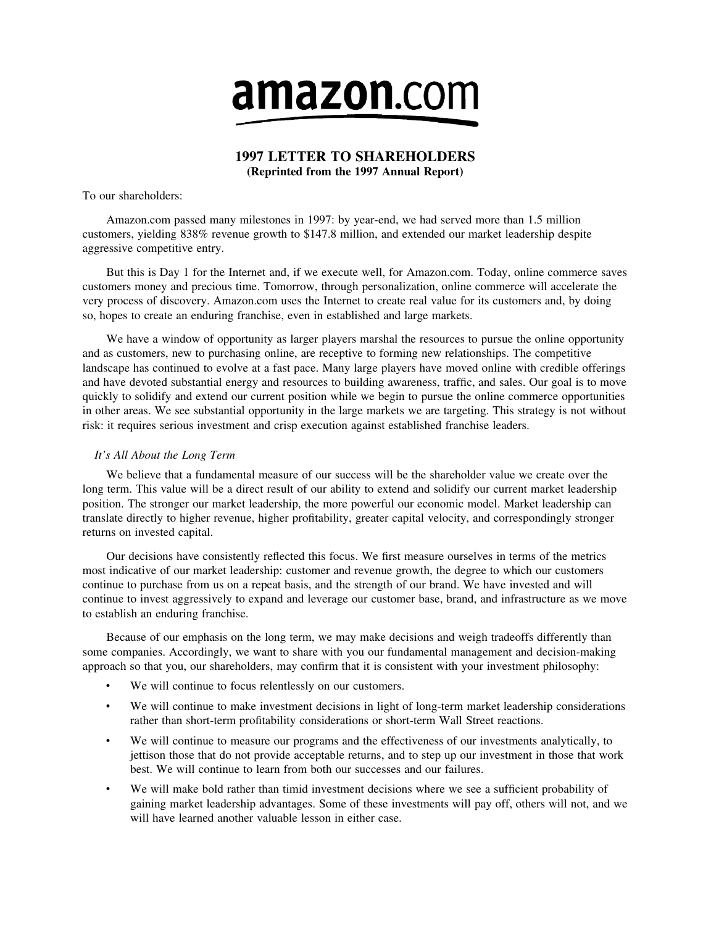# amazon.com

# **1997 LETTER TO SHAREHOLDERS (Reprinted from the 1997 Annual Report)**

To our shareholders:

Amazon.com passed many milestones in 1997: by year-end, we had served more than 1.5 million customers, yielding 838% revenue growth to \$147.8 million, and extended our market leadership despite aggressive competitive entry.

But this is Day 1 for the Internet and, if we execute well, for Amazon.com. Today, online commerce saves customers money and precious time. Tomorrow, through personalization, online commerce will accelerate the very process of discovery. Amazon.com uses the Internet to create real value for its customers and, by doing so, hopes to create an enduring franchise, even in established and large markets.

We have a window of opportunity as larger players marshal the resources to pursue the online opportunity and as customers, new to purchasing online, are receptive to forming new relationships. The competitive landscape has continued to evolve at a fast pace. Many large players have moved online with credible offerings and have devoted substantial energy and resources to building awareness, traffic, and sales. Our goal is to move quickly to solidify and extend our current position while we begin to pursue the online commerce opportunities in other areas. We see substantial opportunity in the large markets we are targeting. This strategy is not without risk: it requires serious investment and crisp execution against established franchise leaders.

## *It's All About the Long Term*

We believe that a fundamental measure of our success will be the shareholder value we create over the long term. This value will be a direct result of our ability to extend and solidify our current market leadership position. The stronger our market leadership, the more powerful our economic model. Market leadership can translate directly to higher revenue, higher profitability, greater capital velocity, and correspondingly stronger returns on invested capital.

Our decisions have consistently reflected this focus. We first measure ourselves in terms of the metrics most indicative of our market leadership: customer and revenue growth, the degree to which our customers continue to purchase from us on a repeat basis, and the strength of our brand. We have invested and will continue to invest aggressively to expand and leverage our customer base, brand, and infrastructure as we move to establish an enduring franchise.

Because of our emphasis on the long term, we may make decisions and weigh tradeoffs differently than some companies. Accordingly, we want to share with you our fundamental management and decision-making approach so that you, our shareholders, may confirm that it is consistent with your investment philosophy:

- We will continue to focus relentlessly on our customers.
- We will continue to make investment decisions in light of long-term market leadership considerations rather than short-term profitability considerations or short-term Wall Street reactions.
- We will continue to measure our programs and the effectiveness of our investments analytically, to jettison those that do not provide acceptable returns, and to step up our investment in those that work best. We will continue to learn from both our successes and our failures.
- We will make bold rather than timid investment decisions where we see a sufficient probability of gaining market leadership advantages. Some of these investments will pay off, others will not, and we will have learned another valuable lesson in either case.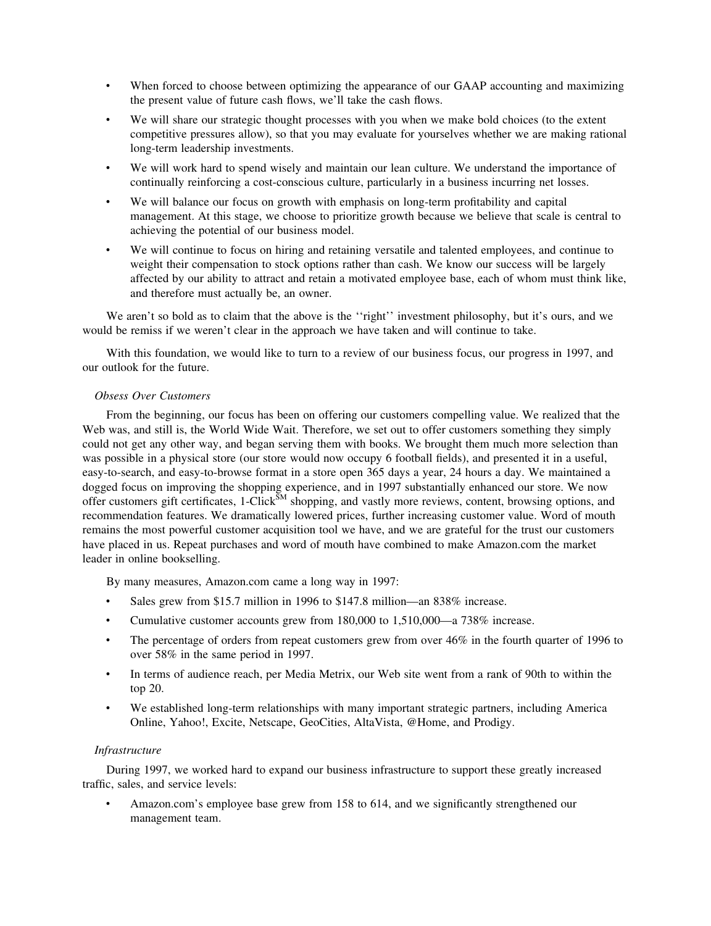- When forced to choose between optimizing the appearance of our GAAP accounting and maximizing the present value of future cash flows, we'll take the cash flows.
- We will share our strategic thought processes with you when we make bold choices (to the extent competitive pressures allow), so that you may evaluate for yourselves whether we are making rational long-term leadership investments.
- We will work hard to spend wisely and maintain our lean culture. We understand the importance of continually reinforcing a cost-conscious culture, particularly in a business incurring net losses.
- We will balance our focus on growth with emphasis on long-term profitability and capital management. At this stage, we choose to prioritize growth because we believe that scale is central to achieving the potential of our business model.
- We will continue to focus on hiring and retaining versatile and talented employees, and continue to weight their compensation to stock options rather than cash. We know our success will be largely affected by our ability to attract and retain a motivated employee base, each of whom must think like, and therefore must actually be, an owner.

We aren't so bold as to claim that the above is the "right" investment philosophy, but it's ours, and we would be remiss if we weren't clear in the approach we have taken and will continue to take.

With this foundation, we would like to turn to a review of our business focus, our progress in 1997, and our outlook for the future.

## *Obsess Over Customers*

From the beginning, our focus has been on offering our customers compelling value. We realized that the Web was, and still is, the World Wide Wait. Therefore, we set out to offer customers something they simply could not get any other way, and began serving them with books. We brought them much more selection than was possible in a physical store (our store would now occupy 6 football fields), and presented it in a useful, easy-to-search, and easy-to-browse format in a store open 365 days a year, 24 hours a day. We maintained a dogged focus on improving the shopping experience, and in 1997 substantially enhanced our store. We now offer customers gift certificates, 1-Click<sup>SM</sup> shopping, and vastly more reviews, content, browsing options, and recommendation features. We dramatically lowered prices, further increasing customer value. Word of mouth remains the most powerful customer acquisition tool we have, and we are grateful for the trust our customers have placed in us. Repeat purchases and word of mouth have combined to make Amazon.com the market leader in online bookselling.

By many measures, Amazon.com came a long way in 1997:

- Sales grew from \$15.7 million in 1996 to \$147.8 million—an 838% increase.
- Cumulative customer accounts grew from 180,000 to 1,510,000—a 738% increase.
- The percentage of orders from repeat customers grew from over 46% in the fourth quarter of 1996 to over 58% in the same period in 1997.
- In terms of audience reach, per Media Metrix, our Web site went from a rank of 90th to within the top 20.
- We established long-term relationships with many important strategic partners, including America Online, Yahoo!, Excite, Netscape, GeoCities, AltaVista, @Home, and Prodigy.

## *Infrastructure*

During 1997, we worked hard to expand our business infrastructure to support these greatly increased traffic, sales, and service levels:

• Amazon.com's employee base grew from 158 to 614, and we significantly strengthened our management team.